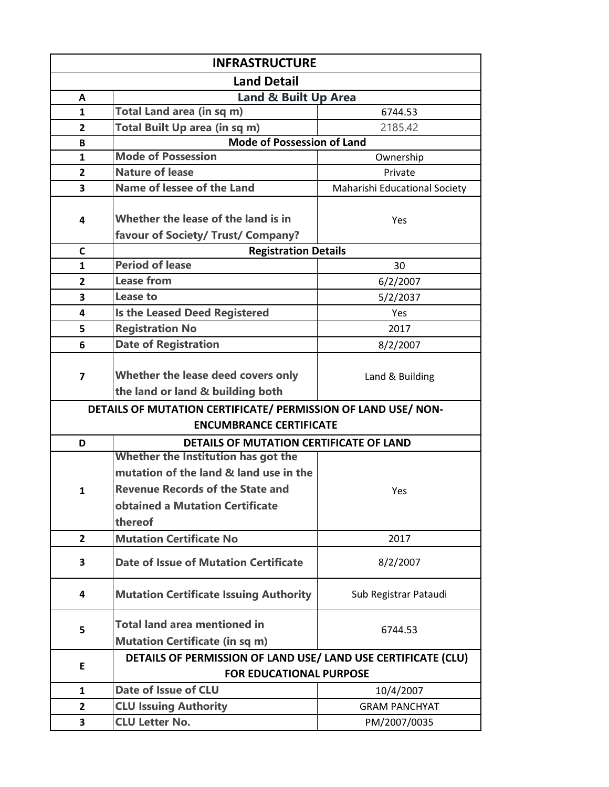| <b>INFRASTRUCTURE</b>          |                                                                              |                               |  |  |
|--------------------------------|------------------------------------------------------------------------------|-------------------------------|--|--|
| <b>Land Detail</b>             |                                                                              |                               |  |  |
| A                              | Land & Built Up Area                                                         |                               |  |  |
| $\mathbf{1}$                   | Total Land area (in sq m)                                                    | 6744.53                       |  |  |
| $\overline{2}$                 | Total Built Up area (in sq m)                                                | 2185.42                       |  |  |
| В                              | <b>Mode of Possession of Land</b>                                            |                               |  |  |
| $\mathbf{1}$                   | <b>Mode of Possession</b>                                                    | Ownership                     |  |  |
| $\overline{2}$                 | <b>Nature of lease</b>                                                       | Private                       |  |  |
| 3                              | Name of lessee of the Land                                                   | Maharishi Educational Society |  |  |
| 4                              | Whether the lease of the land is in<br>favour of Society/ Trust/ Company?    | Yes                           |  |  |
| C                              | <b>Registration Details</b>                                                  |                               |  |  |
| $\mathbf{1}$                   | <b>Period of lease</b>                                                       | 30                            |  |  |
| $\overline{2}$                 | <b>Lease from</b>                                                            | 6/2/2007                      |  |  |
| 3                              | Lease to                                                                     | 5/2/2037                      |  |  |
| 4                              | <b>Is the Leased Deed Registered</b>                                         | Yes                           |  |  |
| 5                              | <b>Registration No</b>                                                       | 2017                          |  |  |
| 6                              | <b>Date of Registration</b>                                                  | 8/2/2007                      |  |  |
| $\overline{7}$                 | Whether the lease deed covers only<br>the land or land & building both       | Land & Building               |  |  |
|                                | DETAILS OF MUTATION CERTIFICATE/ PERMISSION OF LAND USE/ NON-                |                               |  |  |
| <b>ENCUMBRANCE CERTIFICATE</b> |                                                                              |                               |  |  |
| D                              | DETAILS OF MUTATION CERTIFICATE OF LAND                                      |                               |  |  |
|                                | Whether the Institution has got the                                          |                               |  |  |
|                                | mutation of the land & land use in the                                       |                               |  |  |
| $\mathbf{1}$                   | <b>Revenue Records of the State and</b>                                      | <b>Yes</b>                    |  |  |
|                                | obtained a Mutation Certificate                                              |                               |  |  |
|                                | thereof                                                                      |                               |  |  |
| $\overline{2}$                 | <b>Mutation Certificate No</b>                                               | 2017                          |  |  |
| 3                              | Date of Issue of Mutation Certificate                                        | 8/2/2007                      |  |  |
| 4                              | <b>Mutation Certificate Issuing Authority</b>                                | Sub Registrar Pataudi         |  |  |
| 5                              | <b>Total land area mentioned in</b><br><b>Mutation Certificate (in sq m)</b> | 6744.53                       |  |  |
| Е                              | DETAILS OF PERMISSION OF LAND USE/ LAND USE CERTIFICATE (CLU)                |                               |  |  |
|                                | <b>FOR EDUCATIONAL PURPOSE</b>                                               |                               |  |  |
| 1                              | Date of Issue of CLU                                                         | 10/4/2007                     |  |  |
| $\overline{2}$                 | <b>CLU Issuing Authority</b>                                                 | <b>GRAM PANCHYAT</b>          |  |  |
| 3                              | <b>CLU Letter No.</b>                                                        | PM/2007/0035                  |  |  |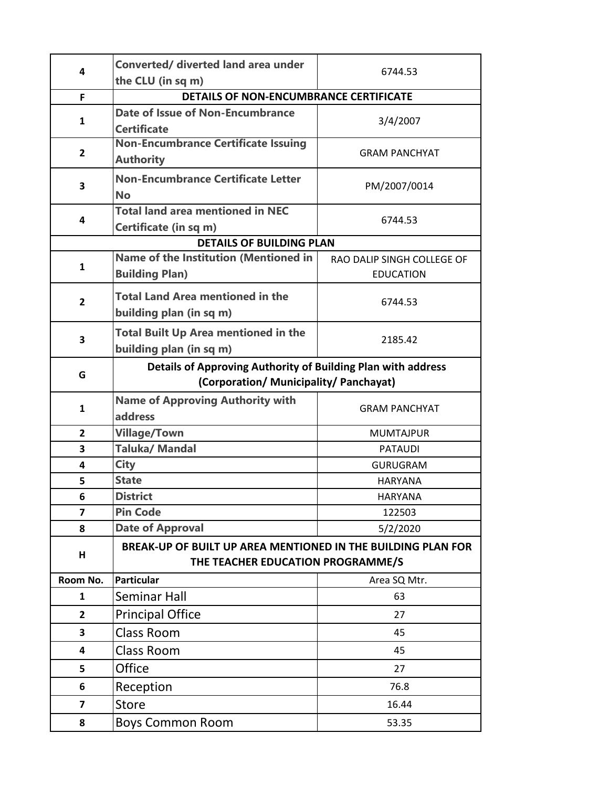| 4                       | <b>Converted/ diverted land area under</b>                                                             |                                                |  |
|-------------------------|--------------------------------------------------------------------------------------------------------|------------------------------------------------|--|
|                         | the CLU (in sq m)                                                                                      | 6744.53                                        |  |
| F.                      | DETAILS OF NON-ENCUMBRANCE CERTIFICATE                                                                 |                                                |  |
| 1                       | Date of Issue of Non-Encumbrance<br><b>Certificate</b>                                                 | 3/4/2007                                       |  |
| 2                       | <b>Non-Encumbrance Certificate Issuing</b><br><b>Authority</b>                                         | <b>GRAM PANCHYAT</b>                           |  |
| 3                       | <b>Non-Encumbrance Certificate Letter</b><br><b>No</b>                                                 | PM/2007/0014                                   |  |
| 4                       | <b>Total land area mentioned in NEC</b><br>Certificate (in sq m)                                       | 6744.53                                        |  |
|                         | <b>DETAILS OF BUILDING PLAN</b>                                                                        |                                                |  |
| $\mathbf{1}$            | <b>Name of the Institution (Mentioned in</b><br><b>Building Plan)</b>                                  | RAO DALIP SINGH COLLEGE OF<br><b>EDUCATION</b> |  |
| $\overline{2}$          | <b>Total Land Area mentioned in the</b><br>building plan (in sq m)                                     | 6744.53                                        |  |
| 3                       | <b>Total Built Up Area mentioned in the</b><br>building plan (in sq m)                                 | 2185.42                                        |  |
| G                       | Details of Approving Authority of Building Plan with address<br>(Corporation/ Municipality/ Panchayat) |                                                |  |
| $\mathbf{1}$            | <b>Name of Approving Authority with</b><br><b>address</b>                                              | <b>GRAM PANCHYAT</b>                           |  |
| $\mathbf{2}$            | <b>Village/Town</b>                                                                                    | <b>MUMTAJPUR</b>                               |  |
| 3                       | <b>Taluka/Mandal</b>                                                                                   | <b>PATAUDI</b>                                 |  |
| 4                       | <b>City</b>                                                                                            | <b>GURUGRAM</b>                                |  |
| 5                       | <b>State</b>                                                                                           | <b>HARYANA</b>                                 |  |
| 6                       | <b>District</b>                                                                                        | HARYANA                                        |  |
| 7                       | <b>Pin Code</b>                                                                                        | 122503                                         |  |
| 8                       | <b>Date of Approval</b>                                                                                | 5/2/2020                                       |  |
| н                       | BREAK-UP OF BUILT UP AREA MENTIONED IN THE BUILDING PLAN FOR<br>THE TEACHER EDUCATION PROGRAMME/S      |                                                |  |
| Room No.                | <b>Particular</b>                                                                                      | Area SQ Mtr.                                   |  |
| 1                       | Seminar Hall                                                                                           | 63                                             |  |
| 2                       | <b>Principal Office</b>                                                                                | 27                                             |  |
| 3                       | <b>Class Room</b>                                                                                      | 45                                             |  |
| 4                       | <b>Class Room</b>                                                                                      | 45                                             |  |
| 5                       | Office                                                                                                 | 27                                             |  |
| 6                       | Reception                                                                                              | 76.8                                           |  |
| $\overline{\mathbf{z}}$ | <b>Store</b>                                                                                           | 16.44                                          |  |
| 8                       | <b>Boys Common Room</b>                                                                                | 53.35                                          |  |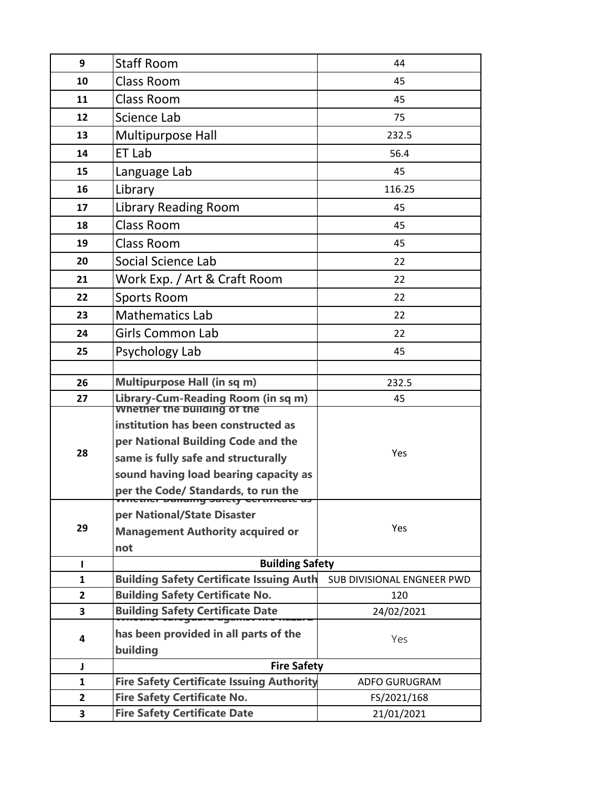| 9              | <b>Staff Room</b>                                                                 | 44                         |  |
|----------------|-----------------------------------------------------------------------------------|----------------------------|--|
| 10             | <b>Class Room</b>                                                                 | 45                         |  |
| 11             | <b>Class Room</b>                                                                 | 45                         |  |
| 12             | Science Lab                                                                       | 75                         |  |
| 13             | Multipurpose Hall                                                                 | 232.5                      |  |
| 14             | ET Lab                                                                            | 56.4                       |  |
| 15             | Language Lab                                                                      | 45                         |  |
| 16             | Library                                                                           | 116.25                     |  |
| 17             | <b>Library Reading Room</b>                                                       | 45                         |  |
| 18             | <b>Class Room</b>                                                                 | 45                         |  |
| 19             | <b>Class Room</b>                                                                 | 45                         |  |
| 20             | Social Science Lab                                                                | 22                         |  |
| 21             | Work Exp. / Art & Craft Room                                                      | 22                         |  |
| 22             | <b>Sports Room</b>                                                                | 22                         |  |
| 23             | <b>Mathematics Lab</b>                                                            | 22                         |  |
| 24             | Girls Common Lab                                                                  | 22                         |  |
| 25             | Psychology Lab                                                                    | 45                         |  |
|                |                                                                                   |                            |  |
| 26             | <b>Multipurpose Hall (in sq m)</b>                                                | 232.5                      |  |
| 27             | Library-Cum-Reading Room (in sq m)<br><b>Whether the building of the</b>          | 45                         |  |
|                | institution has been constructed as                                               |                            |  |
|                | per National Building Code and the                                                |                            |  |
| 28             | same is fully safe and structurally                                               | Yes                        |  |
|                | sound having load bearing capacity as                                             |                            |  |
|                | per the Code/ Standards, to run the<br><u>mencence banang barcey ceremente as</u> |                            |  |
|                | per National/State Disaster                                                       |                            |  |
| 29             | <b>Management Authority acquired or</b>                                           | Yes                        |  |
|                | not                                                                               |                            |  |
| $\mathbf{I}$   | <b>Building Safety</b>                                                            |                            |  |
| $\mathbf{1}$   | <b>Building Safety Certificate Issuing Auth</b>                                   | SUB DIVISIONAL ENGNEER PWD |  |
| $\overline{2}$ | <b>Building Safety Certificate No.</b>                                            | 120                        |  |
| 3              | <b>Building Safety Certificate Date</b>                                           | 24/02/2021                 |  |
| 4              | has been provided in all parts of the                                             | Yes                        |  |
|                | building                                                                          |                            |  |
| J              | <b>Fire Safety</b>                                                                |                            |  |
| $\mathbf{1}$   | <b>Fire Safety Certificate Issuing Authority</b>                                  | ADFO GURUGRAM              |  |
| $\mathbf{2}$   | <b>Fire Safety Certificate No.</b>                                                | FS/2021/168                |  |
| 3              | <b>Fire Safety Certificate Date</b>                                               | 21/01/2021                 |  |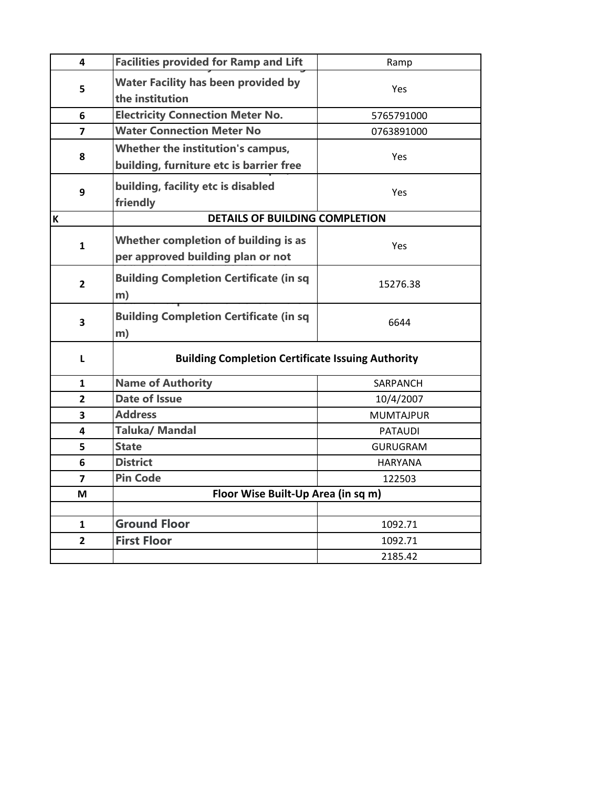| 4              | <b>Facilities provided for Ramp and Lift</b>                                 | Ramp             |  |
|----------------|------------------------------------------------------------------------------|------------------|--|
| 5              | <b>Water Facility has been provided by</b><br>the institution                | Yes              |  |
| 6              | <b>Electricity Connection Meter No.</b>                                      | 5765791000       |  |
| $\overline{ }$ | <b>Water Connection Meter No</b>                                             | 0763891000       |  |
| 8              | Whether the institution's campus,<br>building, furniture etc is barrier free | Yes              |  |
| 9              | building, facility etc is disabled<br>friendly                               | Yes              |  |
| К              | <b>DETAILS OF BUILDING COMPLETION</b>                                        |                  |  |
| 1              | Whether completion of building is as<br>per approved building plan or not    | Yes              |  |
| $\overline{2}$ | <b>Building Completion Certificate (in sq</b><br>m)                          | 15276.38         |  |
| 3              | <b>Building Completion Certificate (in sq</b><br>m)                          | 6644             |  |
| L              | <b>Building Completion Certificate Issuing Authority</b>                     |                  |  |
| 1              | <b>Name of Authority</b>                                                     | SARPANCH         |  |
| $\overline{2}$ | <b>Date of Issue</b>                                                         | 10/4/2007        |  |
| 3              | <b>Address</b>                                                               | <b>MUMTAJPUR</b> |  |
| 4              | <b>Taluka/Mandal</b>                                                         | <b>PATAUDI</b>   |  |
| 5              | <b>State</b>                                                                 | <b>GURUGRAM</b>  |  |
| 6              | <b>District</b>                                                              | <b>HARYANA</b>   |  |
| $\overline{7}$ | <b>Pin Code</b>                                                              | 122503           |  |
| М              | Floor Wise Built-Up Area (in sq m)                                           |                  |  |
|                |                                                                              |                  |  |
| $\mathbf{1}$   | <b>Ground Floor</b>                                                          | 1092.71          |  |
| $\overline{2}$ | <b>First Floor</b>                                                           | 1092.71          |  |
|                |                                                                              | 2185.42          |  |